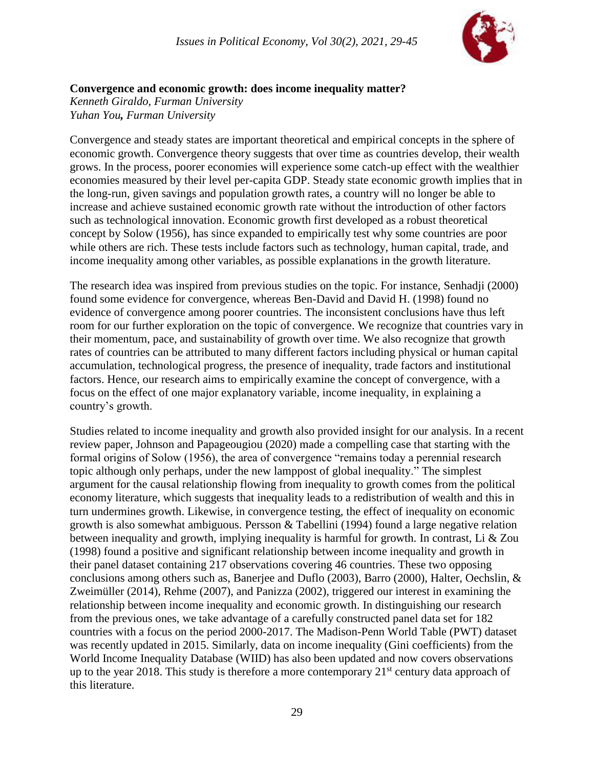

## **Convergence and economic growth: does income inequality matter?**

*Kenneth Giraldo, Furman University Yuhan You, Furman University*

Convergence and steady states are important theoretical and empirical concepts in the sphere of economic growth. Convergence theory suggests that over time as countries develop, their wealth grows. In the process, poorer economies will experience some catch-up effect with the wealthier economies measured by their level per-capita GDP. Steady state economic growth implies that in the long-run, given savings and population growth rates, a country will no longer be able to increase and achieve sustained economic growth rate without the introduction of other factors such as technological innovation. Economic growth first developed as a robust theoretical concept by Solow (1956), has since expanded to empirically test why some countries are poor while others are rich. These tests include factors such as technology, human capital, trade, and income inequality among other variables, as possible explanations in the growth literature.

The research idea was inspired from previous studies on the topic. For instance, Senhadji (2000) found some evidence for convergence, whereas Ben-David and David H. (1998) found no evidence of convergence among poorer countries. The inconsistent conclusions have thus left room for our further exploration on the topic of convergence. We recognize that countries vary in their momentum, pace, and sustainability of growth over time. We also recognize that growth rates of countries can be attributed to many different factors including physical or human capital accumulation, technological progress, the presence of inequality, trade factors and institutional factors. Hence, our research aims to empirically examine the concept of convergence, with a focus on the effect of one major explanatory variable, income inequality, in explaining a country's growth.

Studies related to income inequality and growth also provided insight for our analysis. In a recent review paper, Johnson and Papageougiou (2020) made a compelling case that starting with the formal origins of Solow (1956), the area of convergence "remains today a perennial research topic although only perhaps, under the new lamppost of global inequality." The simplest argument for the causal relationship flowing from inequality to growth comes from the political economy literature, which suggests that inequality leads to a redistribution of wealth and this in turn undermines growth. Likewise, in convergence testing, the effect of inequality on economic growth is also somewhat ambiguous. Persson & Tabellini (1994) found a large negative relation between inequality and growth, implying inequality is harmful for growth. In contrast, Li & Zou (1998) found a positive and significant relationship between income inequality and growth in their panel dataset containing 217 observations covering 46 countries. These two opposing conclusions among others such as, Banerjee and Duflo (2003), Barro (2000), Halter, Oechslin, & Zweimüller (2014), Rehme (2007), and Panizza (2002), triggered our interest in examining the relationship between income inequality and economic growth. In distinguishing our research from the previous ones, we take advantage of a carefully constructed panel data set for 182 countries with a focus on the period 2000-2017. The Madison-Penn World Table (PWT) dataset was recently updated in 2015. Similarly, data on income inequality (Gini coefficients) from the World Income Inequality Database (WIID) has also been updated and now covers observations up to the year 2018. This study is therefore a more contemporary  $21<sup>st</sup>$  century data approach of this literature.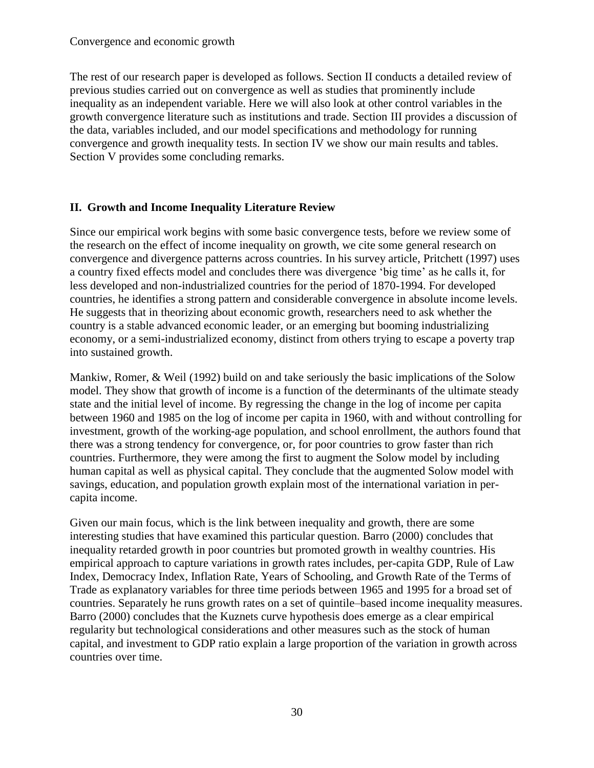The rest of our research paper is developed as follows. Section II conducts a detailed review of previous studies carried out on convergence as well as studies that prominently include inequality as an independent variable. Here we will also look at other control variables in the growth convergence literature such as institutions and trade. Section III provides a discussion of the data, variables included, and our model specifications and methodology for running convergence and growth inequality tests. In section IV we show our main results and tables. Section V provides some concluding remarks.

## **II. Growth and Income Inequality Literature Review**

Since our empirical work begins with some basic convergence tests, before we review some of the research on the effect of income inequality on growth, we cite some general research on convergence and divergence patterns across countries. In his survey article, Pritchett (1997) uses a country fixed effects model and concludes there was divergence 'big time' as he calls it, for less developed and non-industrialized countries for the period of 1870-1994. For developed countries, he identifies a strong pattern and considerable convergence in absolute income levels. He suggests that in theorizing about economic growth, researchers need to ask whether the country is a stable advanced economic leader, or an emerging but booming industrializing economy, or a semi-industrialized economy, distinct from others trying to escape a poverty trap into sustained growth.

Mankiw, Romer, & Weil (1992) build on and take seriously the basic implications of the Solow model. They show that growth of income is a function of the determinants of the ultimate steady state and the initial level of income. By regressing the change in the log of income per capita between 1960 and 1985 on the log of income per capita in 1960, with and without controlling for investment, growth of the working-age population, and school enrollment, the authors found that there was a strong tendency for convergence, or, for poor countries to grow faster than rich countries. Furthermore, they were among the first to augment the Solow model by including human capital as well as physical capital. They conclude that the augmented Solow model with savings, education, and population growth explain most of the international variation in percapita income.

Given our main focus, which is the link between inequality and growth, there are some interesting studies that have examined this particular question. Barro (2000) concludes that inequality retarded growth in poor countries but promoted growth in wealthy countries. His empirical approach to capture variations in growth rates includes, per-capita GDP, Rule of Law Index, Democracy Index, Inflation Rate, Years of Schooling, and Growth Rate of the Terms of Trade as explanatory variables for three time periods between 1965 and 1995 for a broad set of countries. Separately he runs growth rates on a set of quintile–based income inequality measures. Barro (2000) concludes that the Kuznets curve hypothesis does emerge as a clear empirical regularity but technological considerations and other measures such as the stock of human capital, and investment to GDP ratio explain a large proportion of the variation in growth across countries over time.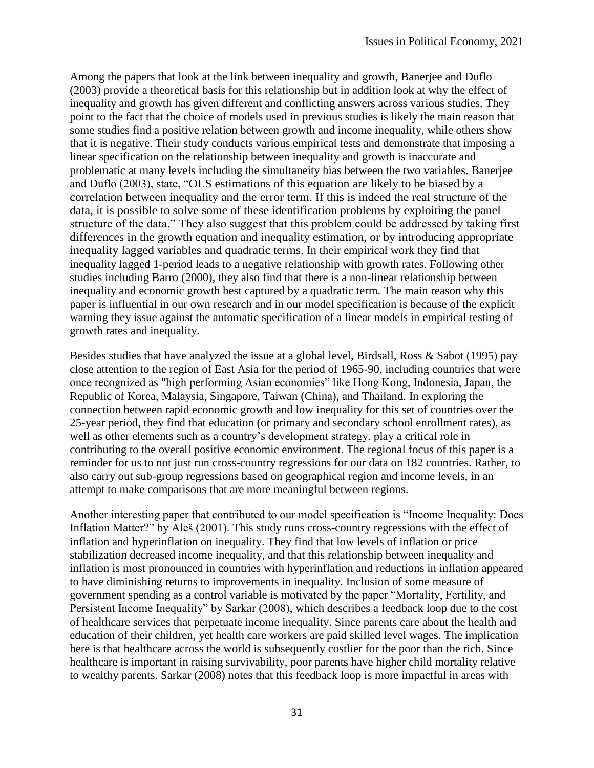Among the papers that look at the link between inequality and growth, Banerjee and Duflo (2003) provide a theoretical basis for this relationship but in addition look at why the effect of inequality and growth has given different and conflicting answers across various studies. They point to the fact that the choice of models used in previous studies is likely the main reason that some studies find a positive relation between growth and income inequality, while others show that it is negative. Their study conducts various empirical tests and demonstrate that imposing a linear specification on the relationship between inequality and growth is inaccurate and problematic at many levels including the simultaneity bias between the two variables. Banerjee and Duflo (2003), state, "OLS estimations of this equation are likely to be biased by a correlation between inequality and the error term. If this is indeed the real structure of the data, it is possible to solve some of these identification problems by exploiting the panel structure of the data." They also suggest that this problem could be addressed by taking first differences in the growth equation and inequality estimation, or by introducing appropriate inequality lagged variables and quadratic terms. In their empirical work they find that inequality lagged 1-period leads to a negative relationship with growth rates. Following other studies including Barro (2000), they also find that there is a non-linear relationship between inequality and economic growth best captured by a quadratic term. The main reason why this paper is influential in our own research and in our model specification is because of the explicit warning they issue against the automatic specification of a linear models in empirical testing of growth rates and inequality.

Besides studies that have analyzed the issue at a global level, Birdsall, Ross & Sabot (1995) pay close attention to the region of East Asia for the period of 1965-90, including countries that were once recognized as "high performing Asian economies" like Hong Kong, Indonesia, Japan, the Republic of Korea, Malaysia, Singapore, Taiwan (China), and Thailand. In exploring the connection between rapid economic growth and low inequality for this set of countries over the 25-year period, they find that education (or primary and secondary school enrollment rates), as well as other elements such as a country's development strategy, play a critical role in contributing to the overall positive economic environment. The regional focus of this paper is a reminder for us to not just run cross-country regressions for our data on 182 countries. Rather, to also carry out sub-group regressions based on geographical region and income levels, in an attempt to make comparisons that are more meaningful between regions.

Another interesting paper that contributed to our model specification is "Income Inequality: Does Inflation Matter?" by Aleš (2001). This study runs cross-country regressions with the effect of inflation and hyperinflation on inequality. They find that low levels of inflation or price stabilization decreased income inequality, and that this relationship between inequality and inflation is most pronounced in countries with hyperinflation and reductions in inflation appeared to have diminishing returns to improvements in inequality. Inclusion of some measure of government spending as a control variable is motivated by the paper "Mortality, Fertility, and Persistent Income Inequality" by Sarkar (2008), which describes a feedback loop due to the cost of healthcare services that perpetuate income inequality. Since parents care about the health and education of their children, yet health care workers are paid skilled level wages. The implication here is that healthcare across the world is subsequently costlier for the poor than the rich. Since healthcare is important in raising survivability, poor parents have higher child mortality relative to wealthy parents. Sarkar (2008) notes that this feedback loop is more impactful in areas with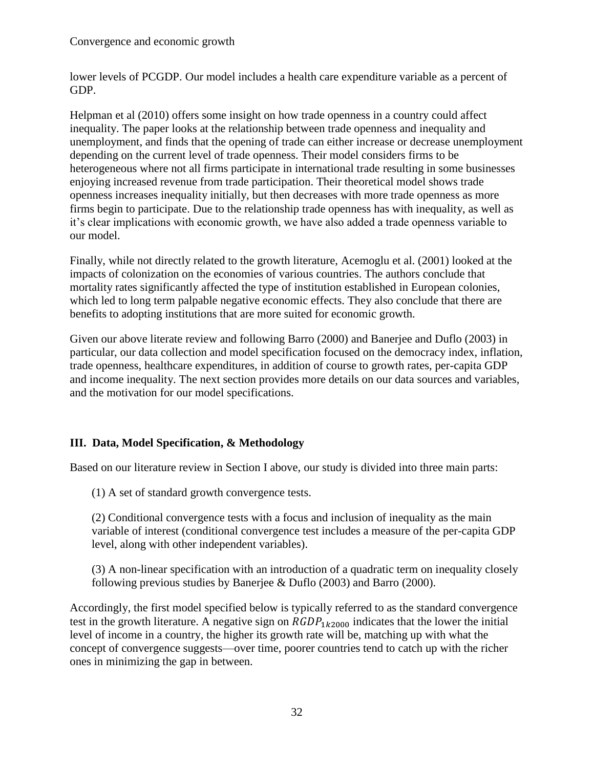lower levels of PCGDP. Our model includes a health care expenditure variable as a percent of GDP.

Helpman et al (2010) offers some insight on how trade openness in a country could affect inequality. The paper looks at the relationship between trade openness and inequality and unemployment, and finds that the opening of trade can either increase or decrease unemployment depending on the current level of trade openness. Their model considers firms to be heterogeneous where not all firms participate in international trade resulting in some businesses enjoying increased revenue from trade participation. Their theoretical model shows trade openness increases inequality initially, but then decreases with more trade openness as more firms begin to participate. Due to the relationship trade openness has with inequality, as well as it's clear implications with economic growth, we have also added a trade openness variable to our model.

Finally, while not directly related to the growth literature, Acemoglu et al. (2001) looked at the impacts of colonization on the economies of various countries. The authors conclude that mortality rates significantly affected the type of institution established in European colonies, which led to long term palpable negative economic effects. They also conclude that there are benefits to adopting institutions that are more suited for economic growth.

Given our above literate review and following Barro (2000) and Banerjee and Duflo (2003) in particular, our data collection and model specification focused on the democracy index, inflation, trade openness, healthcare expenditures, in addition of course to growth rates, per-capita GDP and income inequality. The next section provides more details on our data sources and variables, and the motivation for our model specifications.

## **III. Data, Model Specification, & Methodology**

Based on our literature review in Section I above, our study is divided into three main parts:

(1) A set of standard growth convergence tests.

(2) Conditional convergence tests with a focus and inclusion of inequality as the main variable of interest (conditional convergence test includes a measure of the per-capita GDP level, along with other independent variables).

(3) A non-linear specification with an introduction of a quadratic term on inequality closely following previous studies by Banerjee & Duflo (2003) and Barro (2000).

Accordingly, the first model specified below is typically referred to as the standard convergence test in the growth literature. A negative sign on  $RGDP_{1k2000}$  indicates that the lower the initial level of income in a country, the higher its growth rate will be, matching up with what the concept of convergence suggests—over time, poorer countries tend to catch up with the richer ones in minimizing the gap in between.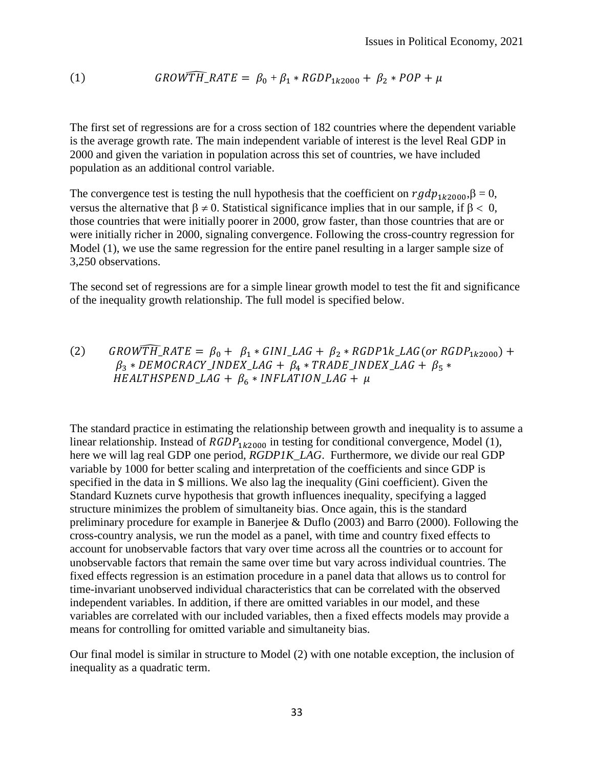(1) ̂\_ = <sup>0</sup> + <sup>1</sup> ∗ 12000 + <sup>2</sup> ∗ +

The first set of regressions are for a cross section of 182 countries where the dependent variable is the average growth rate. The main independent variable of interest is the level Real GDP in 2000 and given the variation in population across this set of countries, we have included population as an additional control variable.

The convergence test is testing the null hypothesis that the coefficient on  $rgdp_{1k2000}$ ,  $\beta = 0$ , versus the alternative that  $\beta \neq 0$ . Statistical significance implies that in our sample, if  $\beta < 0$ , those countries that were initially poorer in 2000, grow faster, than those countries that are or were initially richer in 2000, signaling convergence. Following the cross-country regression for Model (1), we use the same regression for the entire panel resulting in a larger sample size of 3,250 observations.

The second set of regressions are for a simple linear growth model to test the fit and significance of the inequality growth relationship. The full model is specified below.

(2) *GROWTH\_RATE* =  $\beta_0$  +  $\beta_1$  \* *GINI\_LAG* +  $\beta_2$  \* *RGDP1k\_LAG*(*or RGDP*<sub>1k2000</sub>) +  $\beta_3 * DEMOCRACY \_ INDEX \_ LAG + \beta_4 * TRADE \_ INDEX \_ LAG + \beta_5 *$  $HEALTHSPEND\_LAG + \beta_6 * INFLATION\_LAG + \mu$ 

The standard practice in estimating the relationship between growth and inequality is to assume a linear relationship. Instead of  $RGDP_{1k2000}$  in testing for conditional convergence, Model (1), here we will lag real GDP one period, *RGDP1K\_LAG*. Furthermore, we divide our real GDP variable by 1000 for better scaling and interpretation of the coefficients and since GDP is specified in the data in \$ millions. We also lag the inequality (Gini coefficient). Given the Standard Kuznets curve hypothesis that growth influences inequality, specifying a lagged structure minimizes the problem of simultaneity bias. Once again, this is the standard preliminary procedure for example in Banerjee & Duflo (2003) and Barro (2000). Following the cross-country analysis, we run the model as a panel, with time and country fixed effects to account for unobservable factors that vary over time across all the countries or to account for unobservable factors that remain the same over time but vary across individual countries. The fixed effects regression is an estimation procedure in a panel data that allows us to control for time-invariant unobserved individual characteristics that can be correlated with the observed independent variables. In addition, if there are omitted variables in our model, and these variables are correlated with our included variables, then a fixed effects models may provide a means for controlling for omitted variable and simultaneity bias.

Our final model is similar in structure to Model (2) with one notable exception, the inclusion of inequality as a quadratic term.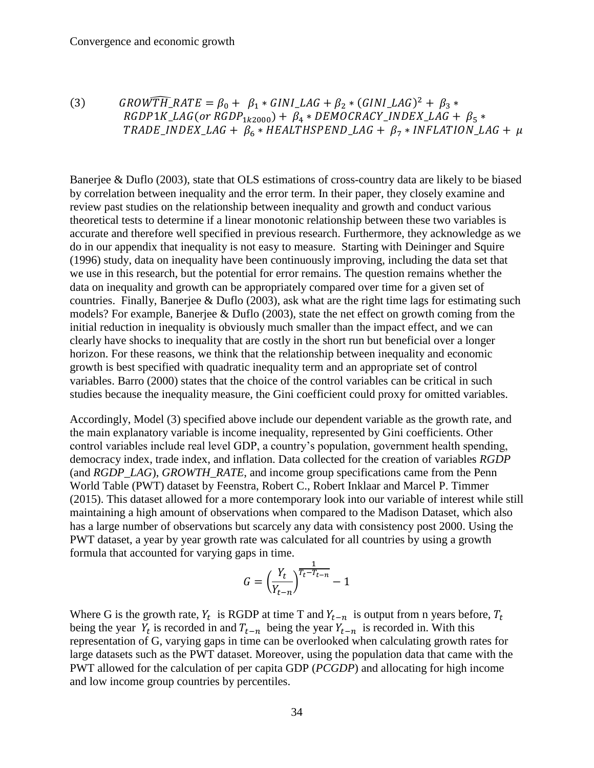(3) *GROWTR\_RATE* = 
$$
\beta_0 + \beta_1 * GINI\_LAG + \beta_2 * (GINI\_LAG)^2 + \beta_3 * RGDP1K\_LAG
$$
 (or *RGDP1<sub>k2000</sub>) +  $\beta_4 * DEMOCRACY\_INDEX\_LAG + \beta_5 * TRADE\_INDEX\_LAG + \beta_6 * HEALTHSPEND\_LAG + \beta_7 * INFLATION\_LAG + \mu$* 

Banerjee & Duflo (2003), state that OLS estimations of cross-country data are likely to be biased by correlation between inequality and the error term. In their paper, they closely examine and review past studies on the relationship between inequality and growth and conduct various theoretical tests to determine if a linear monotonic relationship between these two variables is accurate and therefore well specified in previous research. Furthermore, they acknowledge as we do in our appendix that inequality is not easy to measure. Starting with Deininger and Squire (1996) study, data on inequality have been continuously improving, including the data set that we use in this research, but the potential for error remains. The question remains whether the data on inequality and growth can be appropriately compared over time for a given set of countries. Finally, Banerjee & Duflo (2003), ask what are the right time lags for estimating such models? For example, Banerjee & Duflo (2003), state the net effect on growth coming from the initial reduction in inequality is obviously much smaller than the impact effect, and we can clearly have shocks to inequality that are costly in the short run but beneficial over a longer horizon. For these reasons, we think that the relationship between inequality and economic growth is best specified with quadratic inequality term and an appropriate set of control variables. Barro (2000) states that the choice of the control variables can be critical in such studies because the inequality measure, the Gini coefficient could proxy for omitted variables.

Accordingly, Model (3) specified above include our dependent variable as the growth rate, and the main explanatory variable is income inequality, represented by Gini coefficients. Other control variables include real level GDP, a country's population, government health spending, democracy index, trade index, and inflation. Data collected for the creation of variables *RGDP* (and *RGDP\_LAG*), *GROWTH\_RATE*, and income group specifications came from the Penn World Table (PWT) dataset by Feenstra, Robert C., Robert Inklaar and Marcel P. Timmer (2015). This dataset allowed for a more contemporary look into our variable of interest while still maintaining a high amount of observations when compared to the Madison Dataset, which also has a large number of observations but scarcely any data with consistency post 2000. Using the PWT dataset, a year by year growth rate was calculated for all countries by using a growth formula that accounted for varying gaps in time.

$$
G = \left(\frac{Y_t}{Y_{t-n}}\right)^{\frac{1}{T_t - T_{t-n}}} - 1
$$

Where G is the growth rate,  $Y_t$  is RGDP at time T and  $Y_{t-n}$  is output from n years before,  $T_t$ being the year  $Y_t$  is recorded in and  $T_{t-n}$  being the year  $Y_{t-n}$  is recorded in. With this representation of G, varying gaps in time can be overlooked when calculating growth rates for large datasets such as the PWT dataset. Moreover, using the population data that came with the PWT allowed for the calculation of per capita GDP (*PCGDP*) and allocating for high income and low income group countries by percentiles.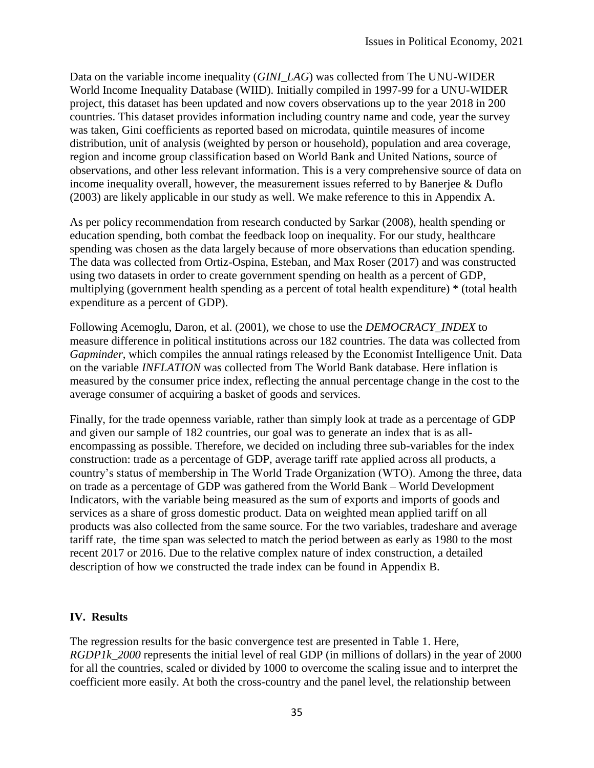Data on the variable income inequality (*GINI\_LAG*) was collected from The UNU-WIDER World Income Inequality Database (WIID). Initially compiled in 1997-99 for a UNU-WIDER project, this dataset has been updated and now covers observations up to the year 2018 in 200 countries. This dataset provides information including country name and code, year the survey was taken, Gini coefficients as reported based on microdata, quintile measures of income distribution, unit of analysis (weighted by person or household), population and area coverage, region and income group classification based on World Bank and United Nations, source of observations, and other less relevant information. This is a very comprehensive source of data on income inequality overall, however, the measurement issues referred to by Banerjee & Duflo (2003) are likely applicable in our study as well. We make reference to this in Appendix A.

As per policy recommendation from research conducted by Sarkar (2008), health spending or education spending, both combat the feedback loop on inequality. For our study, healthcare spending was chosen as the data largely because of more observations than education spending. The data was collected from Ortiz-Ospina, Esteban, and Max Roser (2017) and was constructed using two datasets in order to create government spending on health as a percent of GDP, multiplying (government health spending as a percent of total health expenditure) \* (total health expenditure as a percent of GDP).

Following Acemoglu, Daron, et al. (2001), we chose to use the *DEMOCRACY\_INDEX* to measure difference in political institutions across our 182 countries. The data was collected from *Gapminder*, which compiles the annual ratings released by the Economist Intelligence Unit. Data on the variable *INFLATION* was collected from The World Bank database. Here inflation is measured by the consumer price index, reflecting the annual percentage change in the cost to the average consumer of acquiring a basket of goods and services.

Finally, for the trade openness variable, rather than simply look at trade as a percentage of GDP and given our sample of 182 countries, our goal was to generate an index that is as allencompassing as possible. Therefore, we decided on including three sub-variables for the index construction: trade as a percentage of GDP, average tariff rate applied across all products, a country's status of membership in The World Trade Organization (WTO). Among the three, data on trade as a percentage of GDP was gathered from the World Bank – World Development Indicators, with the variable being measured as the sum of exports and imports of goods and services as a share of gross domestic product. Data on weighted mean applied tariff on all products was also collected from the same source. For the two variables, tradeshare and average tariff rate, the time span was selected to match the period between as early as 1980 to the most recent 2017 or 2016. Due to the relative complex nature of index construction, a detailed description of how we constructed the trade index can be found in Appendix B.

#### **IV. Results**

The regression results for the basic convergence test are presented in Table 1. Here, *RGDP1k* 2000 represents the initial level of real GDP (in millions of dollars) in the year of 2000 for all the countries, scaled or divided by 1000 to overcome the scaling issue and to interpret the coefficient more easily. At both the cross-country and the panel level, the relationship between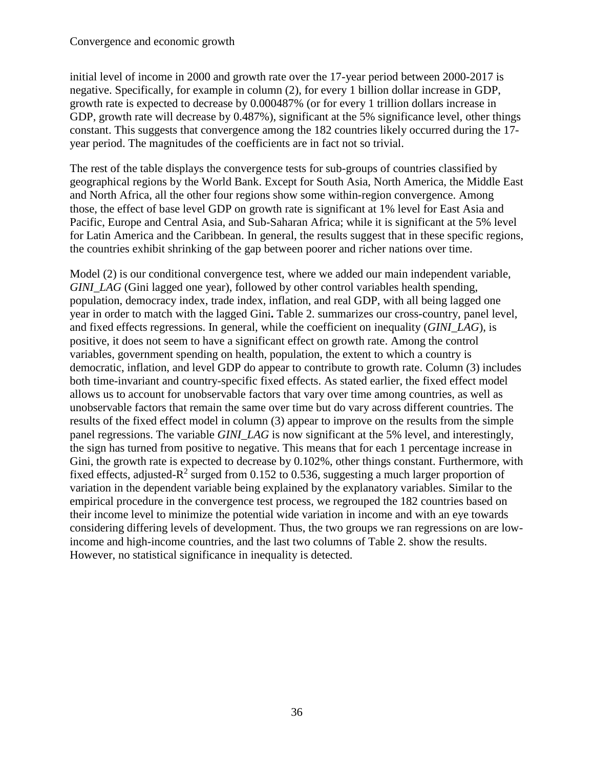initial level of income in 2000 and growth rate over the 17-year period between 2000-2017 is negative. Specifically, for example in column (2), for every 1 billion dollar increase in GDP, growth rate is expected to decrease by 0.000487% (or for every 1 trillion dollars increase in GDP, growth rate will decrease by 0.487%), significant at the 5% significance level, other things constant. This suggests that convergence among the 182 countries likely occurred during the 17 year period. The magnitudes of the coefficients are in fact not so trivial.

The rest of the table displays the convergence tests for sub-groups of countries classified by geographical regions by the World Bank. Except for South Asia, North America, the Middle East and North Africa, all the other four regions show some within-region convergence. Among those, the effect of base level GDP on growth rate is significant at 1% level for East Asia and Pacific, Europe and Central Asia, and Sub-Saharan Africa; while it is significant at the 5% level for Latin America and the Caribbean. In general, the results suggest that in these specific regions, the countries exhibit shrinking of the gap between poorer and richer nations over time.

Model (2) is our conditional convergence test, where we added our main independent variable, *GINI\_LAG* (Gini lagged one year), followed by other control variables health spending, population, democracy index, trade index, inflation, and real GDP, with all being lagged one year in order to match with the lagged Gini**.** Table 2. summarizes our cross-country, panel level, and fixed effects regressions. In general, while the coefficient on inequality (*GINI\_LAG*), is positive, it does not seem to have a significant effect on growth rate. Among the control variables, government spending on health, population, the extent to which a country is democratic, inflation, and level GDP do appear to contribute to growth rate. Column (3) includes both time-invariant and country-specific fixed effects. As stated earlier, the fixed effect model allows us to account for unobservable factors that vary over time among countries, as well as unobservable factors that remain the same over time but do vary across different countries. The results of the fixed effect model in column (3) appear to improve on the results from the simple panel regressions. The variable *GINI\_LAG* is now significant at the 5% level, and interestingly, the sign has turned from positive to negative. This means that for each 1 percentage increase in Gini, the growth rate is expected to decrease by 0.102%, other things constant. Furthermore, with fixed effects, adjusted- $R^2$  surged from 0.152 to 0.536, suggesting a much larger proportion of variation in the dependent variable being explained by the explanatory variables. Similar to the empirical procedure in the convergence test process, we regrouped the 182 countries based on their income level to minimize the potential wide variation in income and with an eye towards considering differing levels of development. Thus, the two groups we ran regressions on are lowincome and high-income countries, and the last two columns of Table 2. show the results. However, no statistical significance in inequality is detected.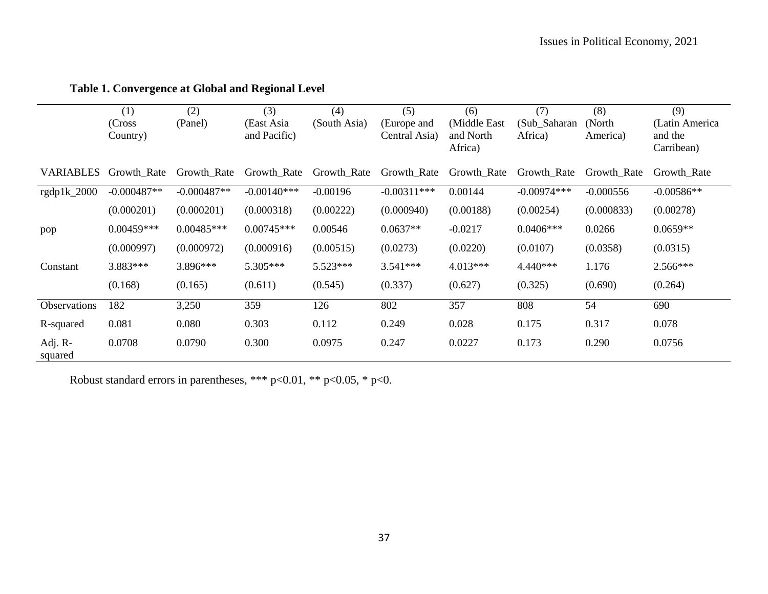|                    | (1)<br>(Cross)<br>Country) | (2)<br>(Panel) | (3)<br>(East Asia<br>and Pacific) | (4)<br>(South Asia) | (5)<br>(Europe and<br>Central Asia) | (6)<br>(Middle East)<br>and North<br>Africa) | (7)<br>(Sub_Saharan<br>Africa) | (8)<br>(North)<br>America) | (9)<br>(Latin America<br>and the<br>Carribean) |
|--------------------|----------------------------|----------------|-----------------------------------|---------------------|-------------------------------------|----------------------------------------------|--------------------------------|----------------------------|------------------------------------------------|
| <b>VARIABLES</b>   | Growth_Rate                | Growth_Rate    | Growth_Rate                       | Growth_Rate         | Growth_Rate                         | Growth Rate                                  | Growth Rate                    | Growth Rate                | Growth Rate                                    |
| $rgdp1k_2000$      | $-0.000487**$              | $-0.000487**$  | $-0.00140***$                     | $-0.00196$          | $-0.00311***$                       | 0.00144                                      | $-0.00974***$                  | $-0.000556$                | $-0.00586**$                                   |
|                    | (0.000201)                 | (0.000201)     | (0.000318)                        | (0.00222)           | (0.000940)                          | (0.00188)                                    | (0.00254)                      | (0.000833)                 | (0.00278)                                      |
| pop                | $0.00459***$               | $0.00485***$   | $0.00745***$                      | 0.00546             | $0.0637**$                          | $-0.0217$                                    | $0.0406***$                    | 0.0266                     | $0.0659**$                                     |
|                    | (0.000997)                 | (0.000972)     | (0.000916)                        | (0.00515)           | (0.0273)                            | (0.0220)                                     | (0.0107)                       | (0.0358)                   | (0.0315)                                       |
| Constant           | 3.883***                   | 3.896***       | 5.305***                          | 5.523***            | $3.541***$                          | $4.013***$                                   | $4.440***$                     | 1.176                      | 2.566***                                       |
|                    | (0.168)                    | (0.165)        | (0.611)                           | (0.545)             | (0.337)                             | (0.627)                                      | (0.325)                        | (0.690)                    | (0.264)                                        |
| Observations       | 182                        | 3,250          | 359                               | 126                 | 802                                 | 357                                          | 808                            | 54                         | 690                                            |
| R-squared          | 0.081                      | 0.080          | 0.303                             | 0.112               | 0.249                               | 0.028                                        | 0.175                          | 0.317                      | 0.078                                          |
| Adj. R-<br>squared | 0.0708                     | 0.0790         | 0.300                             | 0.0975              | 0.247                               | 0.0227                                       | 0.173                          | 0.290                      | 0.0756                                         |

# **Table 1. Convergence at Global and Regional Level**

Robust standard errors in parentheses, \*\*\* p<0.01, \*\* p<0.05, \* p<0.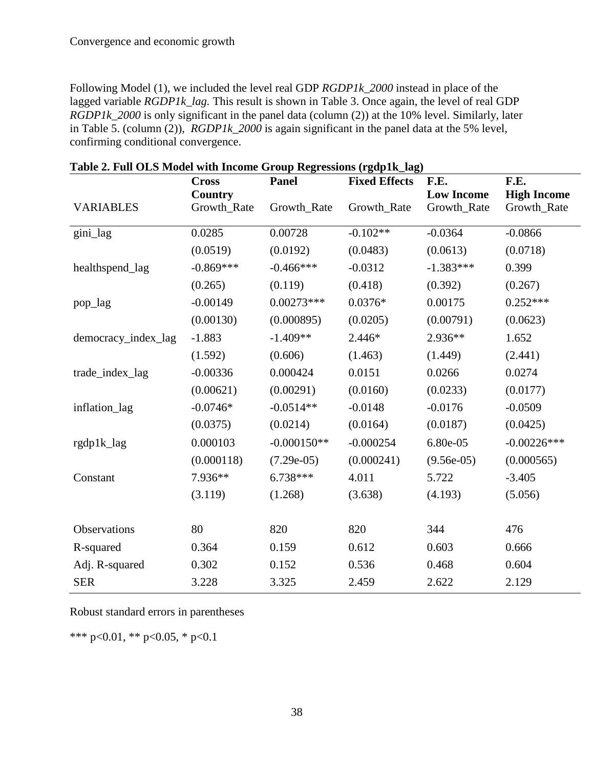Following Model (1), we included the level real GDP *RGDP1k\_2000* instead in place of the lagged variable *RGDP1k* lag. This result is shown in Table 3. Once again, the level of real GDP *RGDP1k\_2000* is only significant in the panel data (column (2)) at the 10% level. Similarly, later in Table 5. (column (2)), *RGDP1k\_2000* is again significant in the panel data at the 5% level, confirming conditional convergence.

|                     | <b>Cross</b> | <b>Panel</b>  | <b>Fixed Effects</b> | F.E.              | F.E.               |
|---------------------|--------------|---------------|----------------------|-------------------|--------------------|
|                     | Country      |               |                      | <b>Low Income</b> | <b>High Income</b> |
| <b>VARIABLES</b>    | Growth_Rate  | Growth_Rate   | Growth_Rate          | Growth_Rate       | Growth_Rate        |
| gini_lag            | 0.0285       | 0.00728       | $-0.102**$           | $-0.0364$         | $-0.0866$          |
|                     | (0.0519)     | (0.0192)      | (0.0483)             | (0.0613)          | (0.0718)           |
| healthspend_lag     | $-0.869***$  | $-0.466***$   | $-0.0312$            | $-1.383***$       | 0.399              |
|                     | (0.265)      | (0.119)       | (0.418)              | (0.392)           | (0.267)            |
| pop_lag             | $-0.00149$   | $0.00273***$  | $0.0376*$            | 0.00175           | $0.252***$         |
|                     | (0.00130)    | (0.000895)    | (0.0205)             | (0.00791)         | (0.0623)           |
| democracy_index_lag | $-1.883$     | $-1.409**$    | $2.446*$             | 2.936**           | 1.652              |
|                     | (1.592)      | (0.606)       | (1.463)              | (1.449)           | (2.441)            |
| trade_index_lag     | $-0.00336$   | 0.000424      | 0.0151               | 0.0266            | 0.0274             |
|                     | (0.00621)    | (0.00291)     | (0.0160)             | (0.0233)          | (0.0177)           |
| inflation_lag       | $-0.0746*$   | $-0.0514**$   | $-0.0148$            | $-0.0176$         | $-0.0509$          |
|                     | (0.0375)     | (0.0214)      | (0.0164)             | (0.0187)          | (0.0425)           |
| rgdp1k_lag          | 0.000103     | $-0.000150**$ | $-0.000254$          | 6.80e-05          | $-0.00226$ ***     |
|                     | (0.000118)   | $(7.29e-05)$  | (0.000241)           | $(9.56e-05)$      | (0.000565)         |
| Constant            | 7.936**      | 6.738***      | 4.011                | 5.722             | $-3.405$           |
|                     | (3.119)      | (1.268)       | (3.638)              | (4.193)           | (5.056)            |
|                     |              |               |                      |                   |                    |
| Observations        | 80           | 820           | 820                  | 344               | 476                |
| R-squared           | 0.364        | 0.159         | 0.612                | 0.603             | 0.666              |
| Adj. R-squared      | 0.302        | 0.152         | 0.536                | 0.468             | 0.604              |
| <b>SER</b>          | 3.228        | 3.325         | 2.459                | 2.622             | 2.129              |

**Table 2. Full OLS Model with Income Group Regressions (rgdp1k\_lag)**

Robust standard errors in parentheses

\*\*\* p<0.01, \*\* p<0.05, \* p<0.1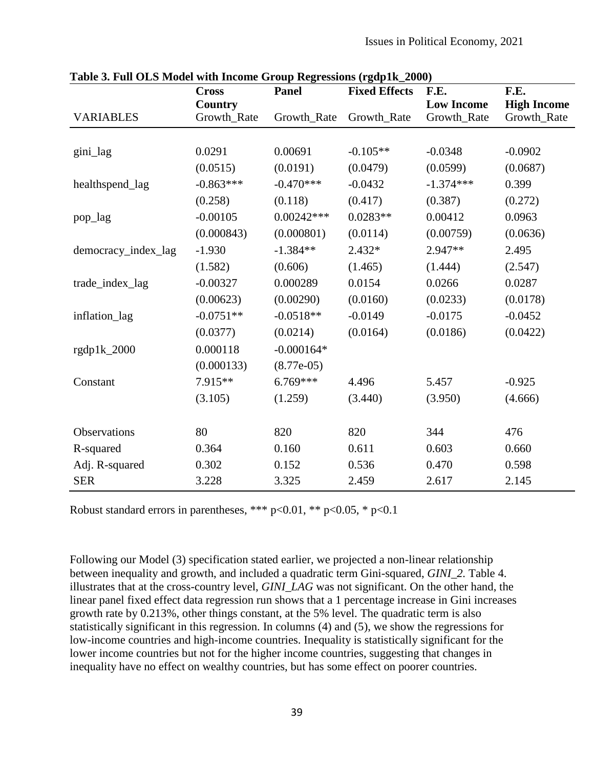| rabic $\sigma$ , run OLD mouer with meome Group regressions (rgupin_2000) | <b>Cross</b> | Panel        | <b>Fixed Effects</b> | F.E.              | F.E.               |
|---------------------------------------------------------------------------|--------------|--------------|----------------------|-------------------|--------------------|
|                                                                           | Country      |              |                      | <b>Low Income</b> | <b>High Income</b> |
| <b>VARIABLES</b>                                                          | Growth_Rate  | Growth_Rate  | Growth_Rate          | Growth_Rate       | Growth_Rate        |
|                                                                           |              |              |                      |                   |                    |
| gini_lag                                                                  | 0.0291       | 0.00691      | $-0.105**$           | $-0.0348$         | $-0.0902$          |
|                                                                           | (0.0515)     | (0.0191)     | (0.0479)             | (0.0599)          | (0.0687)           |
| healthspend_lag                                                           | $-0.863***$  | $-0.470***$  | $-0.0432$            | $-1.374***$       | 0.399              |
|                                                                           | (0.258)      | (0.118)      | (0.417)              | (0.387)           | (0.272)            |
| pop_lag                                                                   | $-0.00105$   | $0.00242***$ | $0.0283**$           | 0.00412           | 0.0963             |
|                                                                           | (0.000843)   | (0.000801)   | (0.0114)             | (0.00759)         | (0.0636)           |
| democracy_index_lag                                                       | $-1.930$     | $-1.384**$   | $2.432*$             | $2.947**$         | 2.495              |
|                                                                           | (1.582)      | (0.606)      | (1.465)              | (1.444)           | (2.547)            |
| trade_index_lag                                                           | $-0.00327$   | 0.000289     | 0.0154               | 0.0266            | 0.0287             |
|                                                                           | (0.00623)    | (0.00290)    | (0.0160)             | (0.0233)          | (0.0178)           |
| inflation_lag                                                             | $-0.0751**$  | $-0.0518**$  | $-0.0149$            | $-0.0175$         | $-0.0452$          |
|                                                                           | (0.0377)     | (0.0214)     | (0.0164)             | (0.0186)          | (0.0422)           |
| rgdp1k_2000                                                               | 0.000118     | $-0.000164*$ |                      |                   |                    |
|                                                                           | (0.000133)   | $(8.77e-05)$ |                      |                   |                    |
| Constant                                                                  | 7.915**      | $6.769***$   | 4.496                | 5.457             | $-0.925$           |
|                                                                           | (3.105)      | (1.259)      | (3.440)              | (3.950)           | (4.666)            |
|                                                                           |              |              |                      |                   |                    |
| Observations                                                              | 80           | 820          | 820                  | 344               | 476                |
| R-squared                                                                 | 0.364        | 0.160        | 0.611                | 0.603             | 0.660              |
| Adj. R-squared                                                            | 0.302        | 0.152        | 0.536                | 0.470             | 0.598              |
| <b>SER</b>                                                                | 3.228        | 3.325        | 2.459                | 2.617             | 2.145              |

**Table 3. Full OLS Model with Income Group Regressions (rgdp1k\_2000)**

Robust standard errors in parentheses, \*\*\*  $p<0.01$ , \*\*  $p<0.05$ , \*  $p<0.1$ 

Following our Model (3) specification stated earlier, we projected a non-linear relationship between inequality and growth, and included a quadratic term Gini-squared, *GINI\_2.* Table 4. illustrates that at the cross-country level, *GINI\_LAG* was not significant. On the other hand, the linear panel fixed effect data regression run shows that a 1 percentage increase in Gini increases growth rate by 0.213%, other things constant, at the 5% level. The quadratic term is also statistically significant in this regression. In columns (4) and (5), we show the regressions for low-income countries and high-income countries. Inequality is statistically significant for the lower income countries but not for the higher income countries, suggesting that changes in inequality have no effect on wealthy countries, but has some effect on poorer countries.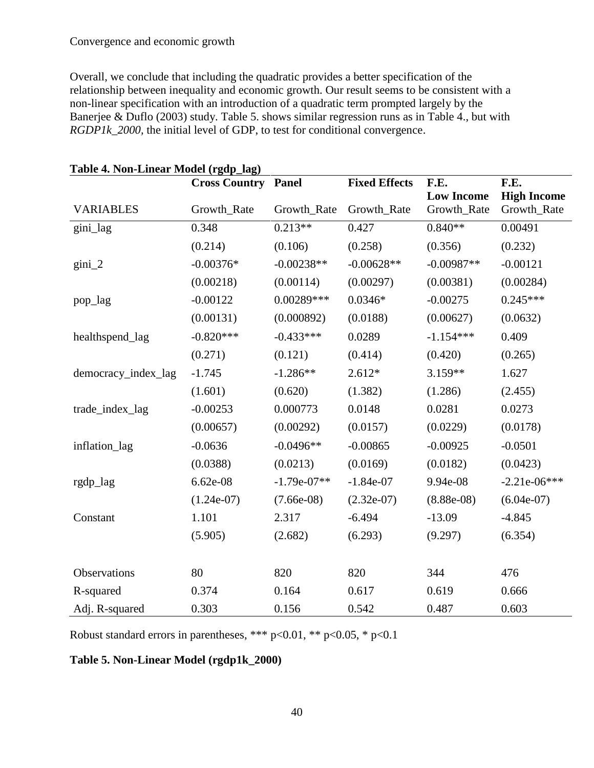Overall, we conclude that including the quadratic provides a better specification of the relationship between inequality and economic growth. Our result seems to be consistent with a non-linear specification with an introduction of a quadratic term prompted largely by the Banerjee & Duflo (2003) study. Table 5. shows similar regression runs as in Table 4., but with *RGDP1k\_2000,* the initial level of GDP, to test for conditional convergence.

| rabic $\pi$ , ivon-Emicar Ivrouci (1 gup_iag) | <b>Cross Country Panel</b> |               | <b>Fixed Effects</b> | F.E.                             | F.E.                              |
|-----------------------------------------------|----------------------------|---------------|----------------------|----------------------------------|-----------------------------------|
| <b>VARIABLES</b>                              | Growth_Rate                | Growth_Rate   | Growth_Rate          | <b>Low Income</b><br>Growth_Rate | <b>High Income</b><br>Growth_Rate |
| gini_lag                                      | 0.348                      | $0.213**$     | 0.427                | $0.840**$                        | 0.00491                           |
|                                               | (0.214)                    | (0.106)       | (0.258)              | (0.356)                          | (0.232)                           |
| $\text{gini}\_2$                              | $-0.00376*$                | $-0.00238**$  | $-0.00628**$         | $-0.00987**$                     | $-0.00121$                        |
|                                               | (0.00218)                  | (0.00114)     | (0.00297)            | (0.00381)                        | (0.00284)                         |
| pop_lag                                       | $-0.00122$                 | 0.00289***    | $0.0346*$            | $-0.00275$                       | $0.245***$                        |
|                                               | (0.00131)                  | (0.000892)    | (0.0188)             | (0.00627)                        | (0.0632)                          |
| healthspend_lag                               | $-0.820***$                | $-0.433***$   | 0.0289               | $-1.154***$                      | 0.409                             |
|                                               | (0.271)                    | (0.121)       | (0.414)              | (0.420)                          | (0.265)                           |
| democracy_index_lag                           | $-1.745$                   | $-1.286**$    | $2.612*$             | 3.159**                          | 1.627                             |
|                                               | (1.601)                    | (0.620)       | (1.382)              | (1.286)                          | (2.455)                           |
| trade_index_lag                               | $-0.00253$                 | 0.000773      | 0.0148               | 0.0281                           | 0.0273                            |
|                                               | (0.00657)                  | (0.00292)     | (0.0157)             | (0.0229)                         | (0.0178)                          |
| inflation_lag                                 | $-0.0636$                  | $-0.0496**$   | $-0.00865$           | $-0.00925$                       | $-0.0501$                         |
|                                               | (0.0388)                   | (0.0213)      | (0.0169)             | (0.0182)                         | (0.0423)                          |
| rgdp_lag                                      | 6.62e-08                   | $-1.79e-07**$ | $-1.84e-07$          | 9.94e-08                         | $-2.21e-06***$                    |
|                                               | $(1.24e-07)$               | $(7.66e-08)$  | $(2.32e-07)$         | $(8.88e-08)$                     | $(6.04e-07)$                      |
| Constant                                      | 1.101                      | 2.317         | $-6.494$             | $-13.09$                         | $-4.845$                          |
|                                               | (5.905)                    | (2.682)       | (6.293)              | (9.297)                          | (6.354)                           |
|                                               |                            |               |                      |                                  |                                   |
| Observations                                  | 80                         | 820           | 820                  | 344                              | 476                               |
| R-squared                                     | 0.374                      | 0.164         | 0.617                | 0.619                            | 0.666                             |
| Adj. R-squared                                | 0.303                      | 0.156         | 0.542                | 0.487                            | 0.603                             |

**Table 4. Non-Linear Model (rgdp\_lag)**

Robust standard errors in parentheses, \*\*\*  $p<0.01$ , \*\*  $p<0.05$ , \*  $p<0.1$ 

## **Table 5. Non-Linear Model (rgdp1k\_2000)**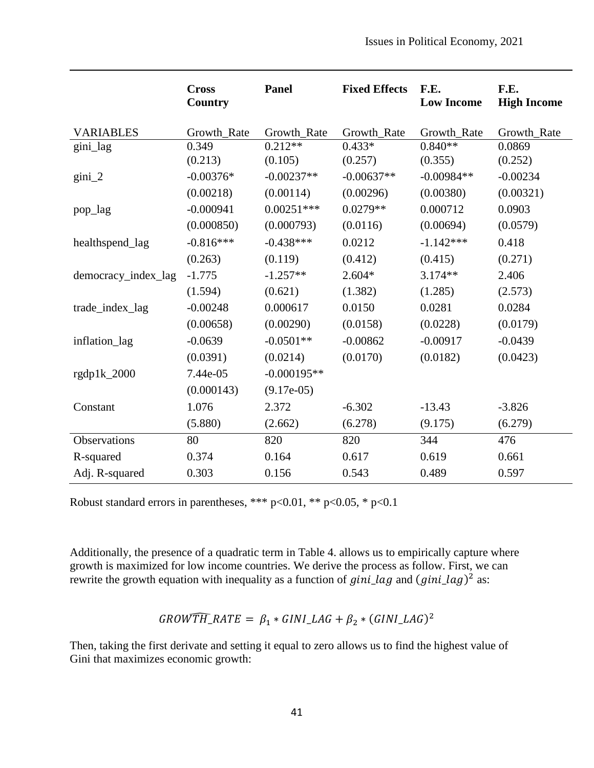|                     | <b>Cross</b><br>Country | <b>Panel</b>  | <b>Fixed Effects</b> | F.E.<br><b>Low Income</b> | F.E.<br><b>High Income</b> |
|---------------------|-------------------------|---------------|----------------------|---------------------------|----------------------------|
| <b>VARIABLES</b>    | Growth_Rate             | Growth_Rate   | Growth_Rate          | Growth_Rate               | Growth_Rate                |
| gini_lag            | 0.349                   | $0.212**$     | $0.433*$             | $0.840**$                 | 0.0869                     |
|                     | (0.213)                 | (0.105)       | (0.257)              | (0.355)                   | (0.252)                    |
| $\text{gini}_2$     | $-0.00376*$             | $-0.00237**$  | $-0.00637**$         | $-0.00984**$              | $-0.00234$                 |
|                     | (0.00218)               | (0.00114)     | (0.00296)            | (0.00380)                 | (0.00321)                  |
| pop_lag             | $-0.000941$             | $0.00251***$  | $0.0279**$           | 0.000712                  | 0.0903                     |
|                     | (0.000850)              | (0.000793)    | (0.0116)             | (0.00694)                 | (0.0579)                   |
| healthspend_lag     | $-0.816***$             | $-0.438***$   | 0.0212               | $-1.142***$               | 0.418                      |
|                     | (0.263)                 | (0.119)       | (0.412)              | (0.415)                   | (0.271)                    |
| democracy_index_lag | $-1.775$                | $-1.257**$    | $2.604*$             | $3.174**$                 | 2.406                      |
|                     | (1.594)                 | (0.621)       | (1.382)              | (1.285)                   | (2.573)                    |
| trade_index_lag     | $-0.00248$              | 0.000617      | 0.0150               | 0.0281                    | 0.0284                     |
|                     | (0.00658)               | (0.00290)     | (0.0158)             | (0.0228)                  | (0.0179)                   |
| inflation_lag       | $-0.0639$               | $-0.0501**$   | $-0.00862$           | $-0.00917$                | $-0.0439$                  |
|                     | (0.0391)                | (0.0214)      | (0.0170)             | (0.0182)                  | (0.0423)                   |
| rgdp1k_2000         | 7.44e-05                | $-0.000195**$ |                      |                           |                            |
|                     | (0.000143)              | $(9.17e-05)$  |                      |                           |                            |
| Constant            | 1.076                   | 2.372         | $-6.302$             | $-13.43$                  | $-3.826$                   |
|                     | (5.880)                 | (2.662)       | (6.278)              | (9.175)                   | (6.279)                    |
| Observations        | 80                      | 820           | 820                  | 344                       | 476                        |
| R-squared           | 0.374                   | 0.164         | 0.617                | 0.619                     | 0.661                      |
| Adj. R-squared      | 0.303                   | 0.156         | 0.543                | 0.489                     | 0.597                      |

Robust standard errors in parentheses, \*\*\* p<0.01, \*\* p<0.05, \* p<0.1

Additionally, the presence of a quadratic term in Table 4. allows us to empirically capture where growth is maximized for low income countries. We derive the process as follow. First, we can rewrite the growth equation with inequality as a function of  $gini\_{lag}$  and  $(gini\_{lag})^2$  as:

$$
GROWTH\_RATE = \beta_1 * GINI\_LAG + \beta_2 * (GINI\_LAG)^2
$$

Then, taking the first derivate and setting it equal to zero allows us to find the highest value of Gini that maximizes economic growth: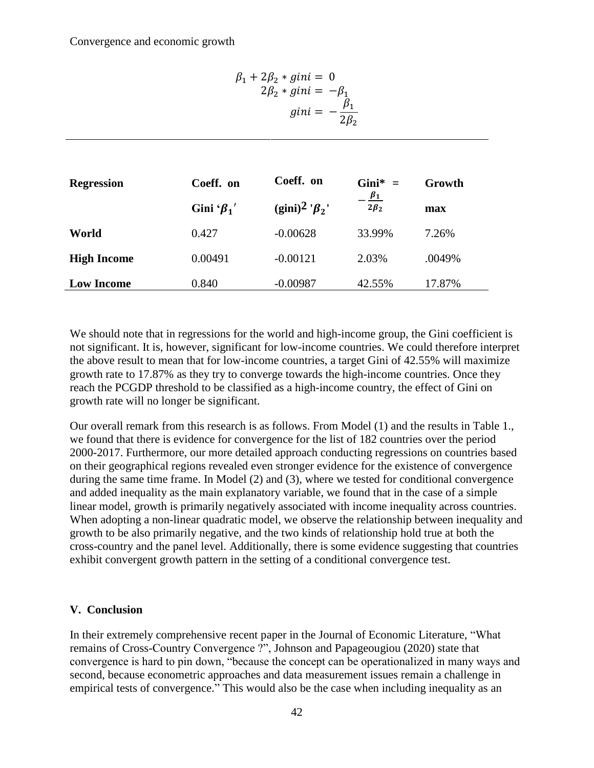$$
\beta_1 + 2\beta_2 * gini = 0
$$
  
2 $\beta_2 * gini = -\beta_1$   

$$
gini = -\frac{\beta_1}{2\beta_2}
$$

| <b>Regression</b>  | Coeff. on          | Coeff. on                         | Gini* $=$               | Growth |
|--------------------|--------------------|-----------------------------------|-------------------------|--------|
|                    | Gini ' $\beta_1$ ' | (gini) <sup>2</sup> ' $\beta_2$ ' | $\beta_1$<br>$2\beta_2$ | max    |
| World              | 0.427              | $-0.00628$                        | 33.99%                  | 7.26%  |
| <b>High Income</b> | 0.00491            | $-0.00121$                        | 2.03%                   | .0049% |
| <b>Low Income</b>  | 0.840              | $-0.00987$                        | 42.55%                  | 17.87% |

We should note that in regressions for the world and high-income group, the Gini coefficient is not significant. It is, however, significant for low-income countries. We could therefore interpret the above result to mean that for low-income countries, a target Gini of 42.55% will maximize growth rate to 17.87% as they try to converge towards the high-income countries. Once they reach the PCGDP threshold to be classified as a high-income country, the effect of Gini on growth rate will no longer be significant.

Our overall remark from this research is as follows. From Model (1) and the results in Table 1., we found that there is evidence for convergence for the list of 182 countries over the period 2000-2017. Furthermore, our more detailed approach conducting regressions on countries based on their geographical regions revealed even stronger evidence for the existence of convergence during the same time frame. In Model (2) and (3), where we tested for conditional convergence and added inequality as the main explanatory variable, we found that in the case of a simple linear model, growth is primarily negatively associated with income inequality across countries. When adopting a non-linear quadratic model, we observe the relationship between inequality and growth to be also primarily negative, and the two kinds of relationship hold true at both the cross-country and the panel level. Additionally, there is some evidence suggesting that countries exhibit convergent growth pattern in the setting of a conditional convergence test.

## **V. Conclusion**

In their extremely comprehensive recent paper in the Journal of Economic Literature, "What remains of Cross-Country Convergence ?", Johnson and Papageougiou (2020) state that convergence is hard to pin down, "because the concept can be operationalized in many ways and second, because econometric approaches and data measurement issues remain a challenge in empirical tests of convergence." This would also be the case when including inequality as an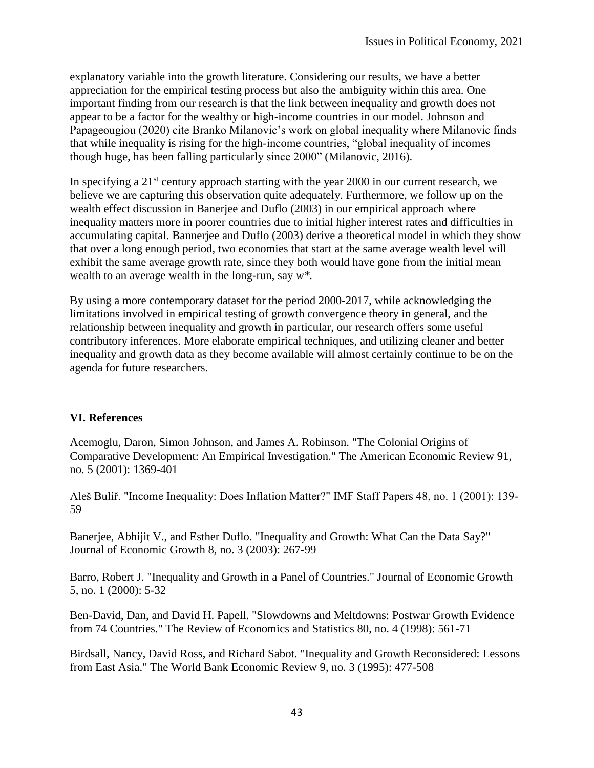explanatory variable into the growth literature. Considering our results, we have a better appreciation for the empirical testing process but also the ambiguity within this area. One important finding from our research is that the link between inequality and growth does not appear to be a factor for the wealthy or high-income countries in our model. Johnson and Papageougiou (2020) cite Branko Milanovic's work on global inequality where Milanovic finds that while inequality is rising for the high-income countries, "global inequality of incomes though huge, has been falling particularly since 2000" (Milanovic, 2016).

In specifying a  $21<sup>st</sup>$  century approach starting with the year 2000 in our current research, we believe we are capturing this observation quite adequately. Furthermore, we follow up on the wealth effect discussion in Banerjee and Duflo (2003) in our empirical approach where inequality matters more in poorer countries due to initial higher interest rates and difficulties in accumulating capital. Bannerjee and Duflo (2003) derive a theoretical model in which they show that over a long enough period, two economies that start at the same average wealth level will exhibit the same average growth rate, since they both would have gone from the initial mean wealth to an average wealth in the long-run, say *w\*.*

By using a more contemporary dataset for the period 2000-2017, while acknowledging the limitations involved in empirical testing of growth convergence theory in general, and the relationship between inequality and growth in particular, our research offers some useful contributory inferences. More elaborate empirical techniques, and utilizing cleaner and better inequality and growth data as they become available will almost certainly continue to be on the agenda for future researchers.

## **VI. References**

Acemoglu, Daron, Simon Johnson, and James A. Robinson. "The Colonial Origins of Comparative Development: An Empirical Investigation." The American Economic Review 91, no. 5 (2001): 1369-401

Aleš Bulíř. "Income Inequality: Does Inflation Matter?" IMF Staff Papers 48, no. 1 (2001): 139- 59

Banerjee, Abhijit V., and Esther Duflo. "Inequality and Growth: What Can the Data Say?" Journal of Economic Growth 8, no. 3 (2003): 267-99

Barro, Robert J. "Inequality and Growth in a Panel of Countries." Journal of Economic Growth 5, no. 1 (2000): 5-32

Ben-David, Dan, and David H. Papell. "Slowdowns and Meltdowns: Postwar Growth Evidence from 74 Countries." The Review of Economics and Statistics 80, no. 4 (1998): 561-71

Birdsall, Nancy, David Ross, and Richard Sabot. "Inequality and Growth Reconsidered: Lessons from East Asia." The World Bank Economic Review 9, no. 3 (1995): 477-508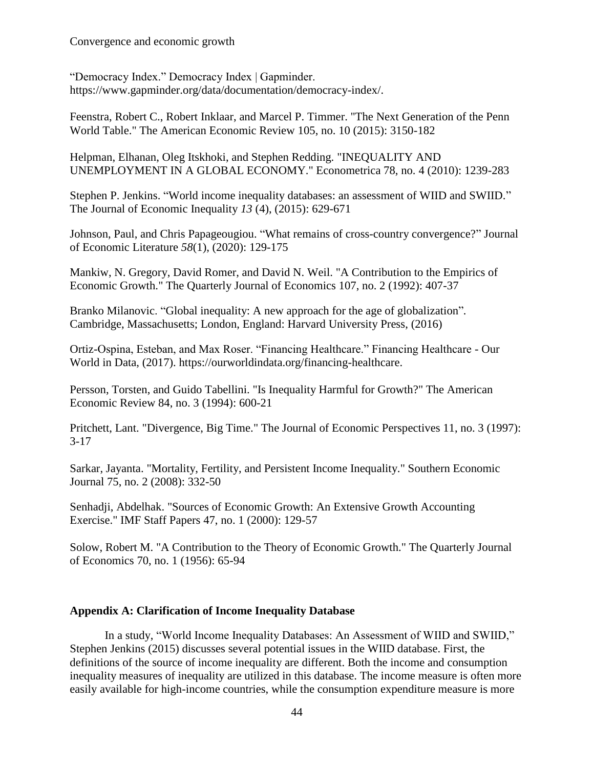Convergence and economic growth

"Democracy Index." Democracy Index | Gapminder. https://www.gapminder.org/data/documentation/democracy-index/.

Feenstra, Robert C., Robert Inklaar, and Marcel P. Timmer. "The Next Generation of the Penn World Table." The American Economic Review 105, no. 10 (2015): 3150-182

Helpman, Elhanan, Oleg Itskhoki, and Stephen Redding. "INEQUALITY AND UNEMPLOYMENT IN A GLOBAL ECONOMY." Econometrica 78, no. 4 (2010): 1239-283

Stephen P. Jenkins. "World income inequality databases: an assessment of WIID and SWIID." The Journal of Economic Inequality *13* (4), (2015): 629-671

Johnson, Paul, and Chris Papageougiou. "What remains of cross-country convergence?" Journal of Economic Literature *58*(1), (2020): 129-175

Mankiw, N. Gregory, David Romer, and David N. Weil. "A Contribution to the Empirics of Economic Growth." The Quarterly Journal of Economics 107, no. 2 (1992): 407-37

Branko Milanovic. "Global inequality: A new approach for the age of globalization"*.* Cambridge, Massachusetts; London, England: Harvard University Press, (2016)

Ortiz-Ospina, Esteban, and Max Roser. "Financing Healthcare." Financing Healthcare - Our World in Data, (2017). https://ourworldindata.org/financing-healthcare.

Persson, Torsten, and Guido Tabellini. "Is Inequality Harmful for Growth?" The American Economic Review 84, no. 3 (1994): 600-21

Pritchett, Lant. "Divergence, Big Time." The Journal of Economic Perspectives 11, no. 3 (1997): 3-17

Sarkar, Jayanta. "Mortality, Fertility, and Persistent Income Inequality." Southern Economic Journal 75, no. 2 (2008): 332-50

Senhadji, Abdelhak. "Sources of Economic Growth: An Extensive Growth Accounting Exercise." IMF Staff Papers 47, no. 1 (2000): 129-57

Solow, Robert M. "A Contribution to the Theory of Economic Growth." The Quarterly Journal of Economics 70, no. 1 (1956): 65-94

#### **Appendix A: Clarification of Income Inequality Database**

In a study, "World Income Inequality Databases: An Assessment of WIID and SWIID," Stephen Jenkins (2015) discusses several potential issues in the WIID database. First, the definitions of the source of income inequality are different. Both the income and consumption inequality measures of inequality are utilized in this database. The income measure is often more easily available for high-income countries, while the consumption expenditure measure is more